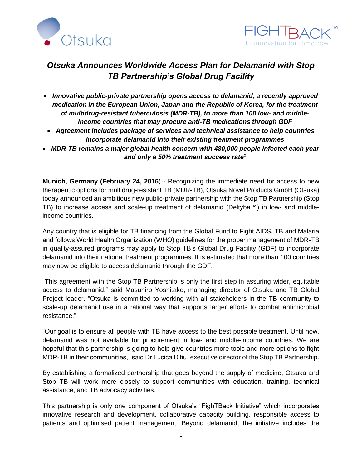



## *Otsuka Announces Worldwide Access Plan for Delamanid with Stop TB Partnership's Global Drug Facility*

- *Innovative public-private partnership opens access to delamanid, a recently approved medication in the European Union, Japan and the Republic of Korea, for the treatment of multidrug-resistant tuberculosis (MDR-TB), to more than 100 low- and middleincome countries that may procure anti-TB medications through GDF*
- *Agreement includes package of services and technical assistance to help countries incorporate delamanid into their existing treatment programmes*
- *MDR-TB remains a major global health concern with 480,000 people infected each year and only a 50% treatment success rate<sup>1</sup>*

**Munich, Germany (February 24, 2016**) - Recognizing the immediate need for access to new therapeutic options for multidrug-resistant TB (MDR-TB), Otsuka Novel Products GmbH (Otsuka) today announced an ambitious new public-private partnership with the Stop TB Partnership (Stop TB) to increase access and scale-up treatment of delamanid (Deltyba™) in low- and middleincome countries.

Any country that is eligible for TB financing from the Global Fund to Fight AIDS, TB and Malaria and follows World Health Organization (WHO) guidelines for the proper management of MDR-TB in quality-assured programs may apply to Stop TB's Global Drug Facility (GDF) to incorporate delamanid into their national treatment programmes. It is estimated that more than 100 countries may now be eligible to access delamanid through the GDF.

"This agreement with the Stop TB Partnership is only the first step in assuring wider, equitable access to delamanid," said Masuhiro Yoshitake, managing director of Otsuka and TB Global Project leader. "Otsuka is committed to working with all stakeholders in the TB community to scale-up delamanid use in a rational way that supports larger efforts to combat antimicrobial resistance."

"Our goal is to ensure all people with TB have access to the best possible treatment. Until now, delamanid was not available for procurement in low- and middle-income countries. We are hopeful that this partnership is going to help give countries more tools and more options to fight MDR-TB in their communities," said Dr Lucica Ditiu, executive director of the Stop TB Partnership.

By establishing a formalized partnership that goes beyond the supply of medicine, Otsuka and Stop TB will work more closely to support communities with education, training, technical assistance, and TB advocacy activities.

This partnership is only one component of Otsuka's "FighTBack Initiative" which incorporates innovative research and development, collaborative capacity building, responsible access to patients and optimised patient management. Beyond delamanid, the initiative includes the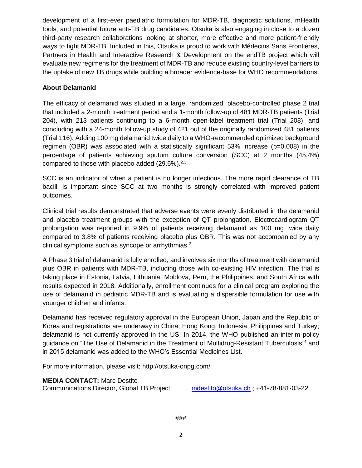development of a first-ever paediatric formulation for MDR-TB, diagnostic solutions, mHealth tools, and potential future anti-TB drug candidates. Otsuka is also engaging in close to a dozen third-party research collaborations looking at shorter, more effective and more patient-friendly ways to fight MDR-TB. Included in this, Otsuka is proud to work with Médecins Sans Frontières, Partners in Health and Interactive Research & Development on the endTB project which will evaluate new regimens for the treatment of MDR-TB and reduce existing country-level barriers to the uptake of new TB drugs while building a broader evidence-base for WHO recommendations.

## **About Delamanid**

The efficacy of delamanid was studied in a large, randomized, placebo-controlled phase 2 trial that included a 2-month treatment period and a 1-month follow-up of 481 MDR-TB patients (Trial 204), with 213 patients continuing to a 6-month open-label treatment trial (Trial 208), and concluding with a 24-month follow-up study of 421 out of the originally randomized 481 patients (Trial 116). Adding 100 mg delamanid twice daily to a WHO-recommended optimized background regimen (OBR) was associated with a statistically significant 53% increase (p=0.008) in the percentage of patients achieving sputum culture conversion (SCC) at 2 months (45.4%) compared to those with placebo added  $(29.6\%)^{2,3}$ 

SCC is an indicator of when a patient is no longer infectious. The more rapid clearance of TB bacilli is important since SCC at two months is strongly correlated with improved patient outcomes.

Clinical trial results demonstrated that adverse events were evenly distributed in the delamanid and placebo treatment groups with the exception of QT prolongation. Electrocardiogram QT prolongation was reported in 9.9% of patients receiving delamanid as 100 mg twice daily compared to 3.8% of patients receiving placebo plus OBR. This was not accompanied by any clinical symptoms such as syncope or arrhythmias.<sup>2</sup>

A Phase 3 trial of delamanid is fully enrolled, and involves six months of treatment with delamanid plus OBR in patients with MDR-TB, including those with co-existing HIV infection. The trial is taking place in Estonia, Latvia, Lithuania, Moldova, Peru, the Philippines, and South Africa with results expected in 2018. Additionally, enrollment continues for a clinical program exploring the use of delamanid in pediatric MDR-TB and is evaluating a dispersible formulation for use with younger children and infants.

Delamanid has received regulatory approval in the European Union, Japan and the Republic of Korea and registrations are underway in China, Hong Kong, Indonesia, Philippines and Turkey; delamanid is not currently approved in the US. In 2014, the WHO published an interim policy guidance on "The Use of Delamanid in the Treatment of Multidrug-Resistant Tuberculosis"<sup>4</sup> and in 2015 delamanid was added to the WHO's Essential Medicines List.

For more information, please visit:<http://otsuka-onpg.com/>

**MEDIA CONTACT:** Marc Destito Communications Director, Global TB Project [mdestito@otsuka.ch](mailto:mdestito@otsuka.ch) ; +41-78-881-03-22